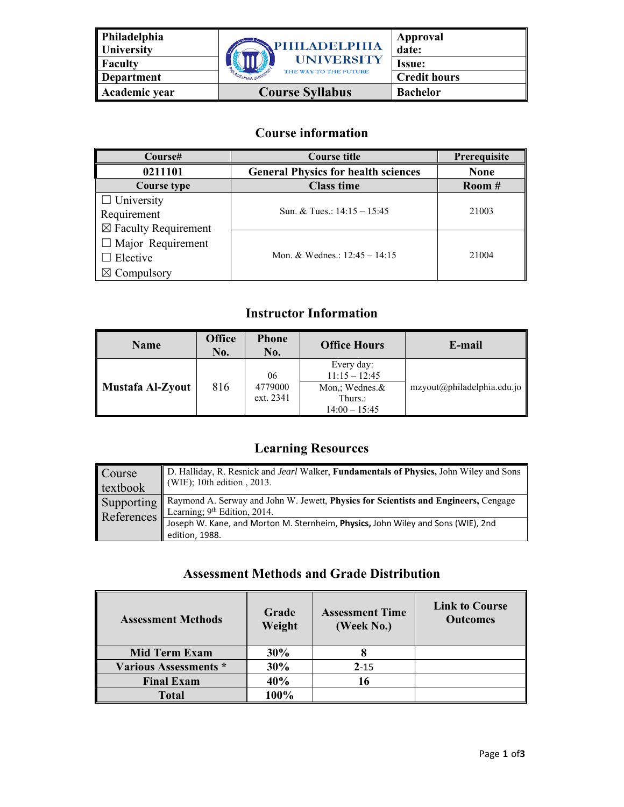| Philadelphia<br>University | PHILADELPHIA           | Approval<br>date:   |
|----------------------------|------------------------|---------------------|
| Faculty                    | <b>UNIVERSITY</b>      | <b>Issue:</b>       |
| Department                 | THE WAY TO THE FUTURE  | <b>Credit hours</b> |
| Academic year              | <b>Course Syllabus</b> | <b>Bachelor</b>     |

## **Course information**

| Course#                                                               | <b>Course title</b>                        | Prerequisite |
|-----------------------------------------------------------------------|--------------------------------------------|--------------|
| 0211101                                                               | <b>General Physics for health sciences</b> | <b>None</b>  |
| Course type                                                           | <b>Class time</b>                          | Room #       |
| $\Box$ University<br>Requirement<br>$\boxtimes$ Faculty Requirement   | Sun. & Tues.: $14:15 - 15:45$              | 21003        |
| $\Box$ Major Requirement<br>$\Box$ Elective<br>$\boxtimes$ Compulsory | Mon. & Wednes.: $12:45 - 14:15$            | 21004        |

# **Instructor Information**

| Name                    | <b>Office</b><br>No. | <b>Phone</b><br>No.        | <b>Office Hours</b>                                                           | E-mail                     |
|-------------------------|----------------------|----------------------------|-------------------------------------------------------------------------------|----------------------------|
| <b>Mustafa Al-Zyout</b> | 816                  | 06<br>4779000<br>ext. 2341 | Every day:<br>$11:15 - 12:45$<br>Mon.: Wednes.&<br>Thurs.:<br>$14:00 - 15:45$ | mzyout@philadelphia.edu.jo |

# **Learning Resources**

| Course<br>textbook | D. Halliday, R. Resnick and Jearl Walker, Fundamentals of Physics, John Wiley and Sons<br>$\parallel$ (WIE); 10th edition, 2013.          |
|--------------------|-------------------------------------------------------------------------------------------------------------------------------------------|
|                    | Supporting Raymond A. Serway and John W. Jewett, Physics for Scientists and Engineers, Cengage<br>References Learning; 9th Edition, 2014. |
|                    | Joseph W. Kane, and Morton M. Sternheim, Physics, John Wiley and Sons (WIE), 2nd                                                          |
|                    | edition, 1988.                                                                                                                            |

### **Assessment Methods and Grade Distribution**

| <b>Assessment Methods</b>    | Grade<br>Weight | <b>Assessment Time</b><br>(Week No.) | <b>Link to Course</b><br><b>Outcomes</b> |
|------------------------------|-----------------|--------------------------------------|------------------------------------------|
| <b>Mid Term Exam</b>         | 30%             | 8                                    |                                          |
| <b>Various Assessments *</b> | 30%             | $2 - 15$                             |                                          |
| <b>Final Exam</b>            | 40%             | 16                                   |                                          |
| <b>Total</b>                 | 100%            |                                      |                                          |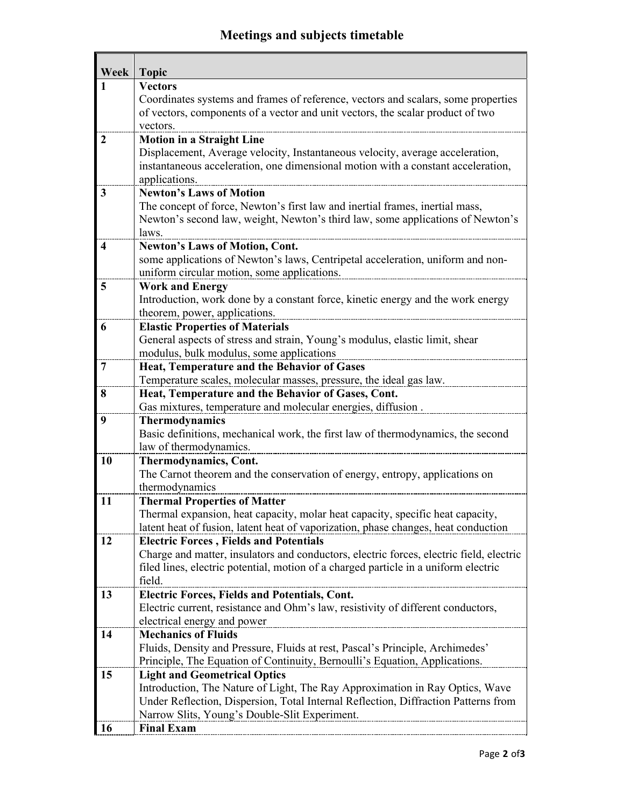# **Meetings and subjects timetable**

| Week                    | <b>Topic</b>                                                                                                                                                       |
|-------------------------|--------------------------------------------------------------------------------------------------------------------------------------------------------------------|
| 1                       | <b>Vectors</b>                                                                                                                                                     |
|                         | Coordinates systems and frames of reference, vectors and scalars, some properties                                                                                  |
|                         | of vectors, components of a vector and unit vectors, the scalar product of two                                                                                     |
|                         | vectors.                                                                                                                                                           |
| $\overline{2}$          | <b>Motion in a Straight Line</b>                                                                                                                                   |
|                         | Displacement, Average velocity, Instantaneous velocity, average acceleration,                                                                                      |
|                         | instantaneous acceleration, one dimensional motion with a constant acceleration,                                                                                   |
|                         | applications.                                                                                                                                                      |
| 3                       | <b>Newton's Laws of Motion</b>                                                                                                                                     |
|                         | The concept of force, Newton's first law and inertial frames, inertial mass,                                                                                       |
|                         | Newton's second law, weight, Newton's third law, some applications of Newton's                                                                                     |
|                         | laws.                                                                                                                                                              |
| $\overline{\mathbf{4}}$ | <b>Newton's Laws of Motion, Cont.</b>                                                                                                                              |
|                         | some applications of Newton's laws, Centripetal acceleration, uniform and non-                                                                                     |
|                         | uniform circular motion, some applications.                                                                                                                        |
| 5                       | <b>Work and Energy</b>                                                                                                                                             |
|                         | Introduction, work done by a constant force, kinetic energy and the work energy                                                                                    |
|                         | theorem, power, applications.                                                                                                                                      |
| 6                       | <b>Elastic Properties of Materials</b>                                                                                                                             |
|                         | General aspects of stress and strain, Young's modulus, elastic limit, shear                                                                                        |
|                         | modulus, bulk modulus, some applications                                                                                                                           |
| $7\phantom{.0}$         | Heat, Temperature and the Behavior of Gases                                                                                                                        |
|                         | Temperature scales, molecular masses, pressure, the ideal gas law.                                                                                                 |
| 8                       | Heat, Temperature and the Behavior of Gases, Cont.                                                                                                                 |
|                         | Gas mixtures, temperature and molecular energies, diffusion.                                                                                                       |
| 9                       | <b>Thermodynamics</b>                                                                                                                                              |
|                         | Basic definitions, mechanical work, the first law of thermodynamics, the second                                                                                    |
|                         | law of thermodynamics.                                                                                                                                             |
| <b>10</b>               | <b>Thermodynamics, Cont.</b>                                                                                                                                       |
|                         | The Carnot theorem and the conservation of energy, entropy, applications on                                                                                        |
|                         | thermodynamics                                                                                                                                                     |
| 11                      | <b>Thermal Properties of Matter</b>                                                                                                                                |
|                         | Thermal expansion, heat capacity, molar heat capacity, specific heat capacity,                                                                                     |
| 12                      | latent heat of fusion, latent heat of vaporization, phase changes, heat conduction                                                                                 |
|                         | <b>Electric Forces, Fields and Potentials</b>                                                                                                                      |
|                         | Charge and matter, insulators and conductors, electric forces, electric field, electric                                                                            |
|                         | filed lines, electric potential, motion of a charged particle in a uniform electric<br>field.                                                                      |
| 13                      |                                                                                                                                                                    |
|                         | Electric Forces, Fields and Potentials, Cont.<br>Electric current, resistance and Ohm's law, resistivity of different conductors,                                  |
|                         | electrical energy and power                                                                                                                                        |
| 14                      | <b>Mechanics of Fluids</b>                                                                                                                                         |
|                         | Fluids, Density and Pressure, Fluids at rest, Pascal's Principle, Archimedes'                                                                                      |
|                         | Principle, The Equation of Continuity, Bernoulli's Equation, Applications.                                                                                         |
| 15                      |                                                                                                                                                                    |
|                         | <b>Light and Geometrical Optics</b>                                                                                                                                |
|                         | Introduction, The Nature of Light, The Ray Approximation in Ray Optics, Wave<br>Under Reflection, Dispersion, Total Internal Reflection, Diffraction Patterns from |
|                         |                                                                                                                                                                    |
|                         | Narrow Slits, Young's Double-Slit Experiment.                                                                                                                      |
| 16                      | <b>Final Exam</b>                                                                                                                                                  |